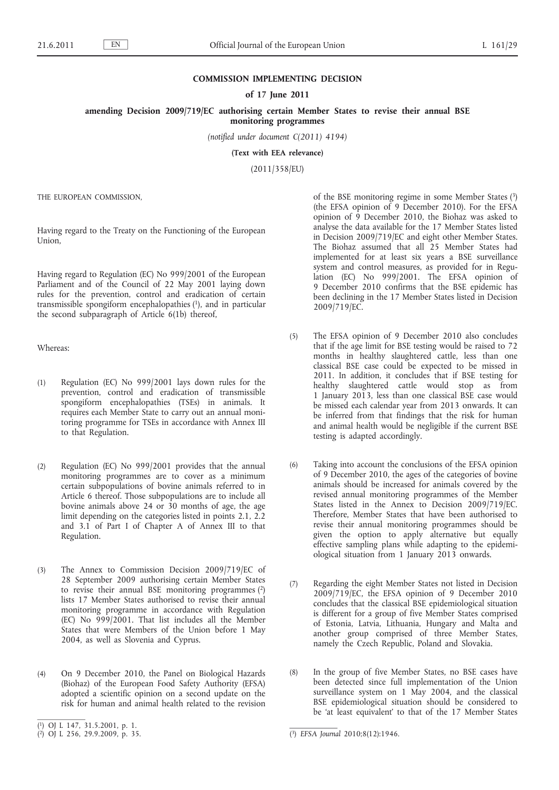## **COMMISSION IMPLEMENTING DECISION**

## **of 17 June 2011**

**amending Decision 2009/719/EC authorising certain Member States to revise their annual BSE monitoring programmes**

*(notified under document C(2011) 4194)*

**(Text with EEA relevance)**

(2011/358/EU)

THE EUROPEAN COMMISSION,

Having regard to the Treaty on the Functioning of the European Union,

Having regard to Regulation (EC) No 999/2001 of the European Parliament and of the Council of 22 May 2001 laying down rules for the prevention, control and eradication of certain transmissible spongiform encephalopathies (1), and in particular the second subparagraph of Article 6(1b) thereof,

Whereas:

- (1) Regulation (EC) No 999/2001 lays down rules for the prevention, control and eradication of transmissible spongiform encephalopathies (TSEs) in animals. It requires each Member State to carry out an annual monitoring programme for TSEs in accordance with Annex III to that Regulation.
- (2) Regulation (EC) No 999/2001 provides that the annual monitoring programmes are to cover as a minimum certain subpopulations of bovine animals referred to in Article 6 thereof. Those subpopulations are to include all bovine animals above 24 or 30 months of age, the age limit depending on the categories listed in points 2.1, 2.2 and 3.1 of Part I of Chapter A of Annex III to that Regulation.
- (3) The Annex to Commission Decision 2009/719/EC of 28 September 2009 authorising certain Member States to revise their annual BSE monitoring programmes (2) lists 17 Member States authorised to revise their annual monitoring programme in accordance with Regulation (EC) No 999/2001. That list includes all the Member States that were Members of the Union before 1 May 2004, as well as Slovenia and Cyprus.
- (4) On 9 December 2010, the Panel on Biological Hazards (Biohaz) of the European Food Safety Authority (EFSA) adopted a scientific opinion on a second update on the risk for human and animal health related to the revision

of the BSE monitoring regime in some Member States (3) (the EFSA opinion of 9 December 2010). For the EFSA opinion of 9 December 2010, the Biohaz was asked to analyse the data available for the 17 Member States listed in Decision 2009/719/EC and eight other Member States. The Biohaz assumed that all 25 Member States had implemented for at least six years a BSE surveillance system and control measures, as provided for in Regulation (EC) No 999/2001. The EFSA opinion of 9 December 2010 confirms that the BSE epidemic has been declining in the 17 Member States listed in Decision 2009/719/EC.

- (5) The EFSA opinion of 9 December 2010 also concludes that if the age limit for BSE testing would be raised to 72 months in healthy slaughtered cattle, less than one classical BSE case could be expected to be missed in 2011. In addition, it concludes that if BSE testing for healthy slaughtered cattle would stop as from 1 January 2013, less than one classical BSE case would be missed each calendar year from 2013 onwards. It can be inferred from that findings that the risk for human and animal health would be negligible if the current BSE testing is adapted accordingly.
- (6) Taking into account the conclusions of the EFSA opinion of 9 December 2010, the ages of the categories of bovine animals should be increased for animals covered by the revised annual monitoring programmes of the Member States listed in the Annex to Decision 2009/719/EC. Therefore, Member States that have been authorised to revise their annual monitoring programmes should be given the option to apply alternative but equally effective sampling plans while adapting to the epidemiological situation from 1 January 2013 onwards.
- (7) Regarding the eight Member States not listed in Decision 2009/719/EC, the EFSA opinion of 9 December 2010 concludes that the classical BSE epidemiological situation is different for a group of five Member States comprised of Estonia, Latvia, Lithuania, Hungary and Malta and another group comprised of three Member States, namely the Czech Republic, Poland and Slovakia.
- (8) In the group of five Member States, no BSE cases have been detected since full implementation of the Union surveillance system on 1 May 2004, and the classical BSE epidemiological situation should be considered to be 'at least equivalent' to that of the 17 Member States

<sup>(</sup> 1) OJ L 147, 31.5.2001, p. 1.

 $(2)$  OJ L 256, 29.9.2009, p. 35.

<sup>(&</sup>lt;sup>3</sup>) EFSA Journal 2010;8(12):1946.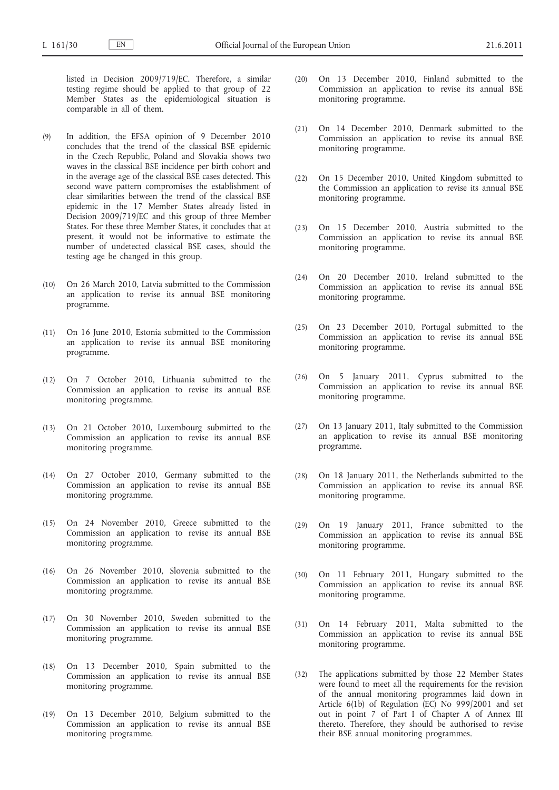listed in Decision 2009/719/EC. Therefore, a similar testing regime should be applied to that group of 22 Member States as the epidemiological situation is comparable in all of them.

- (9) In addition, the EFSA opinion of 9 December 2010 concludes that the trend of the classical BSE epidemic in the Czech Republic, Poland and Slovakia shows two waves in the classical BSE incidence per birth cohort and in the average age of the classical BSE cases detected. This second wave pattern compromises the establishment of clear similarities between the trend of the classical BSE epidemic in the 17 Member States already listed in Decision 2009/719/EC and this group of three Member States. For these three Member States, it concludes that at present, it would not be informative to estimate the number of undetected classical BSE cases, should the testing age be changed in this group.
- (10) On 26 March 2010, Latvia submitted to the Commission an application to revise its annual BSE monitoring programme.
- (11) On 16 June 2010, Estonia submitted to the Commission an application to revise its annual BSE monitoring programme.
- (12) On 7 October 2010, Lithuania submitted to the Commission an application to revise its annual BSE monitoring programme.
- (13) On 21 October 2010, Luxembourg submitted to the Commission an application to revise its annual BSE monitoring programme.
- (14) On 27 October 2010, Germany submitted to the Commission an application to revise its annual BSE monitoring programme.
- (15) On 24 November 2010, Greece submitted to the Commission an application to revise its annual BSE monitoring programme.
- (16) On 26 November 2010, Slovenia submitted to the Commission an application to revise its annual BSE monitoring programme.
- (17) On 30 November 2010, Sweden submitted to the Commission an application to revise its annual BSE monitoring programme.
- (18) On 13 December 2010, Spain submitted to the Commission an application to revise its annual BSE monitoring programme.
- (19) On 13 December 2010, Belgium submitted to the Commission an application to revise its annual BSE monitoring programme.
- (20) On 13 December 2010, Finland submitted to the Commission an application to revise its annual BSE monitoring programme.
- (21) On 14 December 2010, Denmark submitted to the Commission an application to revise its annual BSE monitoring programme.
- (22) On 15 December 2010, United Kingdom submitted to the Commission an application to revise its annual BSE monitoring programme.
- (23) On 15 December 2010, Austria submitted to the Commission an application to revise its annual BSE monitoring programme.
- (24) On 20 December 2010, Ireland submitted to the Commission an application to revise its annual BSE monitoring programme.
- (25) On 23 December 2010, Portugal submitted to the Commission an application to revise its annual BSE monitoring programme.
- (26) On 5 January 2011, Cyprus submitted to the Commission an application to revise its annual BSE monitoring programme.
- (27) On 13 January 2011, Italy submitted to the Commission an application to revise its annual BSE monitoring programme.
- (28) On 18 January 2011, the Netherlands submitted to the Commission an application to revise its annual BSE monitoring programme.
- (29) On 19 January 2011, France submitted to the Commission an application to revise its annual BSE monitoring programme.
- (30) On 11 February 2011, Hungary submitted to the Commission an application to revise its annual BSE monitoring programme.
- (31) On 14 February 2011, Malta submitted to the Commission an application to revise its annual BSE monitoring programme.
- (32) The applications submitted by those 22 Member States were found to meet all the requirements for the revision of the annual monitoring programmes laid down in Article 6(1b) of Regulation (EC) No 999/2001 and set out in point 7 of Part I of Chapter A of Annex III thereto. Therefore, they should be authorised to revise their BSE annual monitoring programmes.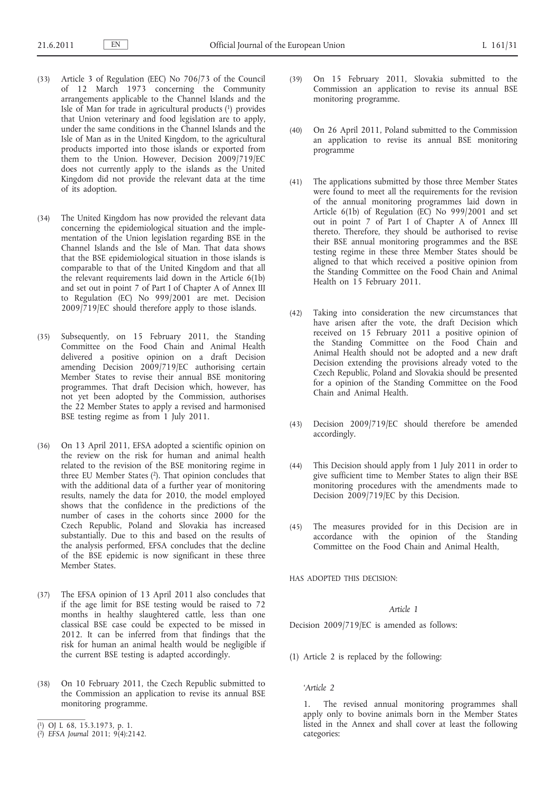- (33) Article 3 of Regulation (EEC) No 706/73 of the Council of 12 March 1973 concerning the Community arrangements applicable to the Channel Islands and the Isle of Man for trade in agricultural products (1) provides that Union veterinary and food legislation are to apply, under the same conditions in the Channel Islands and the Isle of Man as in the United Kingdom, to the agricultural products imported into those islands or exported from them to the Union. However, Decision 2009/719/EC does not currently apply to the islands as the United Kingdom did not provide the relevant data at the time of its adoption.
- (34) The United Kingdom has now provided the relevant data concerning the epidemiological situation and the implementation of the Union legislation regarding BSE in the Channel Islands and the Isle of Man. That data shows that the BSE epidemiological situation in those islands is comparable to that of the United Kingdom and that all the relevant requirements laid down in the Article 6(1b) and set out in point 7 of Part I of Chapter A of Annex III to Regulation (EC) No 999/2001 are met. Decision 2009/719/EC should therefore apply to those islands.
- (35) Subsequently, on 15 February 2011, the Standing Committee on the Food Chain and Animal Health delivered a positive opinion on a draft Decision amending Decision 2009/719/EC authorising certain Member States to revise their annual BSE monitoring programmes. That draft Decision which, however, has not yet been adopted by the Commission, authorises the 22 Member States to apply a revised and harmonised BSE testing regime as from 1 July 2011.
- (36) On 13 April 2011, EFSA adopted a scientific opinion on the review on the risk for human and animal health related to the revision of the BSE monitoring regime in three EU Member States  $(2)$ . That opinion concludes that with the additional data of a further year of monitoring results, namely the data for 2010, the model employed shows that the confidence in the predictions of the number of cases in the cohorts since 2000 for the Czech Republic, Poland and Slovakia has increased substantially. Due to this and based on the results of the analysis performed, EFSA concludes that the decline of the BSE epidemic is now significant in these three Member States.
- (37) The EFSA opinion of 13 April 2011 also concludes that if the age limit for BSE testing would be raised to 72 months in healthy slaughtered cattle, less than one classical BSE case could be expected to be missed in 2012. It can be inferred from that findings that the risk for human an animal health would be negligible if the current BSE testing is adapted accordingly.
- (38) On 10 February 2011, the Czech Republic submitted to the Commission an application to revise its annual BSE monitoring programme.
- ( 1) OJ L 68, 15.3.1973, p. 1.
- (39) On 15 February 2011, Slovakia submitted to the Commission an application to revise its annual BSE monitoring programme.
- (40) On 26 April 2011, Poland submitted to the Commission an application to revise its annual BSE monitoring programme
- (41) The applications submitted by those three Member States were found to meet all the requirements for the revision of the annual monitoring programmes laid down in Article 6(1b) of Regulation (EC) No 999/2001 and set out in point 7 of Part I of Chapter A of Annex III thereto. Therefore, they should be authorised to revise their BSE annual monitoring programmes and the BSE testing regime in these three Member States should be aligned to that which received a positive opinion from the Standing Committee on the Food Chain and Animal Health on 15 February 2011.
- (42) Taking into consideration the new circumstances that have arisen after the vote, the draft Decision which received on 15 February 2011 a positive opinion of the Standing Committee on the Food Chain and Animal Health should not be adopted and a new draft Decision extending the provisions already voted to the Czech Republic, Poland and Slovakia should be presented for a opinion of the Standing Committee on the Food Chain and Animal Health.
- (43) Decision 2009/719/EC should therefore be amended accordingly.
- (44) This Decision should apply from 1 July 2011 in order to give sufficient time to Member States to align their BSE monitoring procedures with the amendments made to Decision 2009/719/EC by this Decision.
- (45) The measures provided for in this Decision are in accordance with the opinion of the Standing Committee on the Food Chain and Animal Health,

HAS ADOPTED THIS DECISION:

## *Article 1*

Decision 2009/719/EC is amended as follows:

(1) Article 2 is replaced by the following:

## *'Article 2*

1. The revised annual monitoring programmes shall apply only to bovine animals born in the Member States listed in the Annex and shall cover at least the following categories:

<sup>(</sup> 2) *EFSA Journal* 2011; 9(4):2142.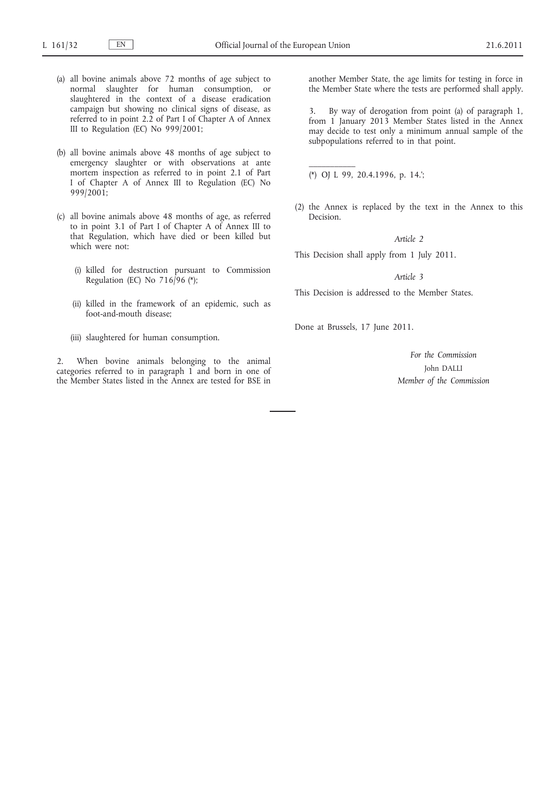- (a) all bovine animals above 72 months of age subject to normal slaughter for human consumption, or slaughtered in the context of a disease eradication campaign but showing no clinical signs of disease, as referred to in point 2.2 of Part I of Chapter A of Annex III to Regulation (EC) No 999/2001;
- (b) all bovine animals above 48 months of age subject to emergency slaughter or with observations at ante mortem inspection as referred to in point 2.1 of Part I of Chapter A of Annex III to Regulation (EC) No 999/2001;
- (c) all bovine animals above 48 months of age, as referred to in point 3.1 of Part I of Chapter A of Annex III to that Regulation, which have died or been killed but which were not:
	- (i) killed for destruction pursuant to Commission Regulation (EC) No  $716/96$  (\*);
	- (ii) killed in the framework of an epidemic, such as foot-and-mouth disease;
	- (iii) slaughtered for human consumption.

2. When bovine animals belonging to the animal categories referred to in paragraph 1 and born in one of the Member States listed in the Annex are tested for BSE in

another Member State, the age limits for testing in force in the Member State where the tests are performed shall apply.

3. By way of derogation from point (a) of paragraph 1, from 1 January 2013 Member States listed in the Annex may decide to test only a minimum annual sample of the subpopulations referred to in that point.

(\*) OJ L 99, 20.4.1996, p. 14.';

 $\frac{1}{2}$ 

(2) the Annex is replaced by the text in the Annex to this Decision.

#### *Article 2*

This Decision shall apply from 1 July 2011.

### *Article 3*

This Decision is addressed to the Member States.

Done at Brussels, 17 June 2011.

*For the Commission* John DALLI *Member of the Commission*